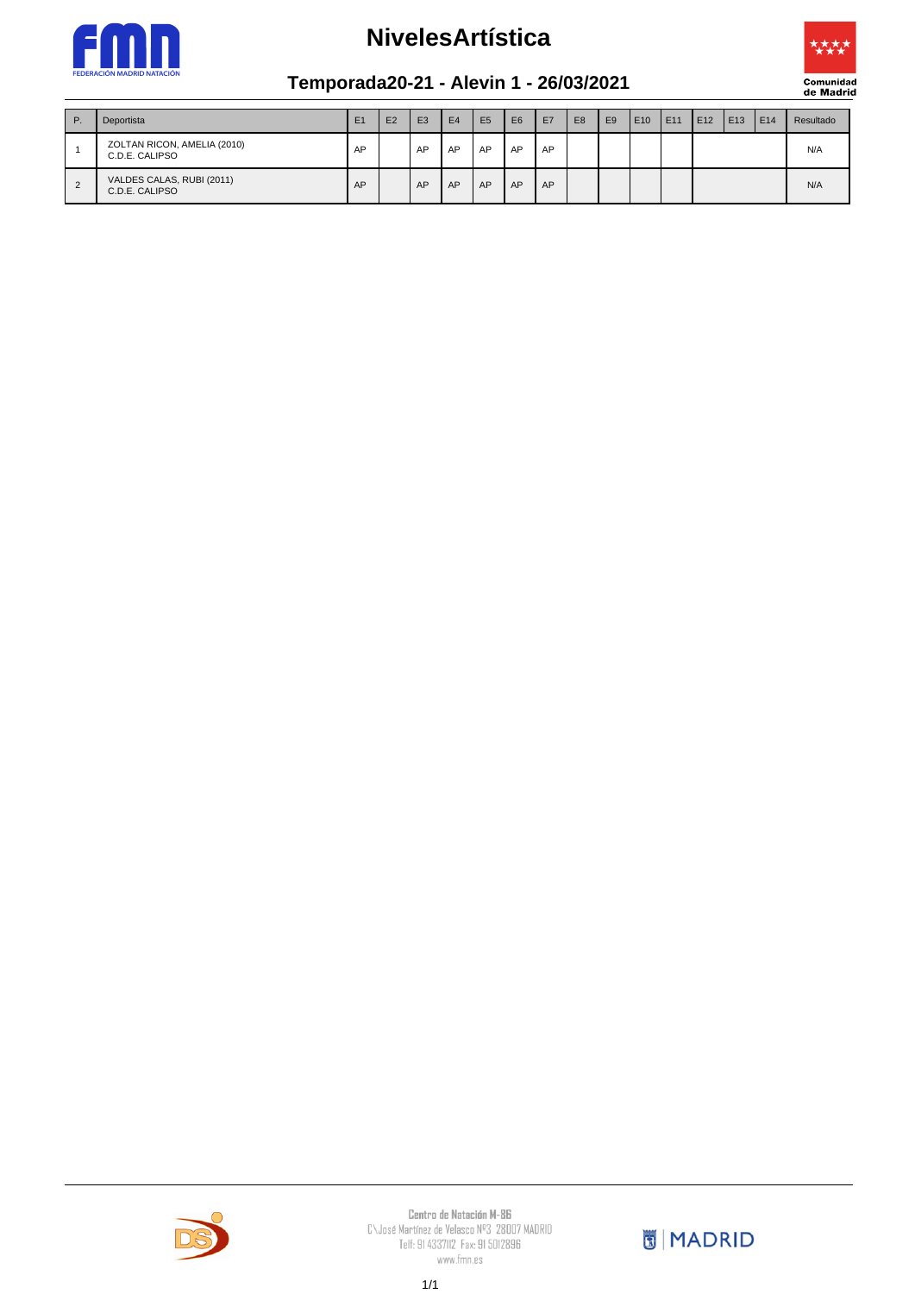



#### **Temporada20-21 - Alevin 1 - 26/03/2021**

| $P$ .          | Deportista                                    | E1 | E <sub>2</sub> | E <sub>3</sub> | E <sub>4</sub> | E <sub>5</sub> | E <sub>6</sub> | E7 | E <sub>8</sub> | E <sub>9</sub> | E10 | E11 | E12 | E <sub>13</sub> | <b>E14</b> | Resultado |
|----------------|-----------------------------------------------|----|----------------|----------------|----------------|----------------|----------------|----|----------------|----------------|-----|-----|-----|-----------------|------------|-----------|
|                | ZOLTAN RICON, AMELIA (2010)<br>C.D.E. CALIPSO | AP |                | AP             | AP             | AP             | AP             | AP |                |                |     |     |     |                 |            | N/A       |
| $\overline{2}$ | VALDES CALAS, RUBI (2011)<br>C.D.E. CALIPSO   | AP |                | AP             | AP             | AP             | AP             | AP |                |                |     |     |     |                 |            | N/A       |



 $\begin{array}{c} \textbf{Centra de Natación M-BG} \\ \textbf{C}\cup \text{ose Martínez de Velasco N<sup>og</sup> } 28007 MADRID \\ \textbf{Telf: 91 4337112 } \textbf{Fax: 91 5012896} \end{array}$ www.fmn.es

**同** MADRID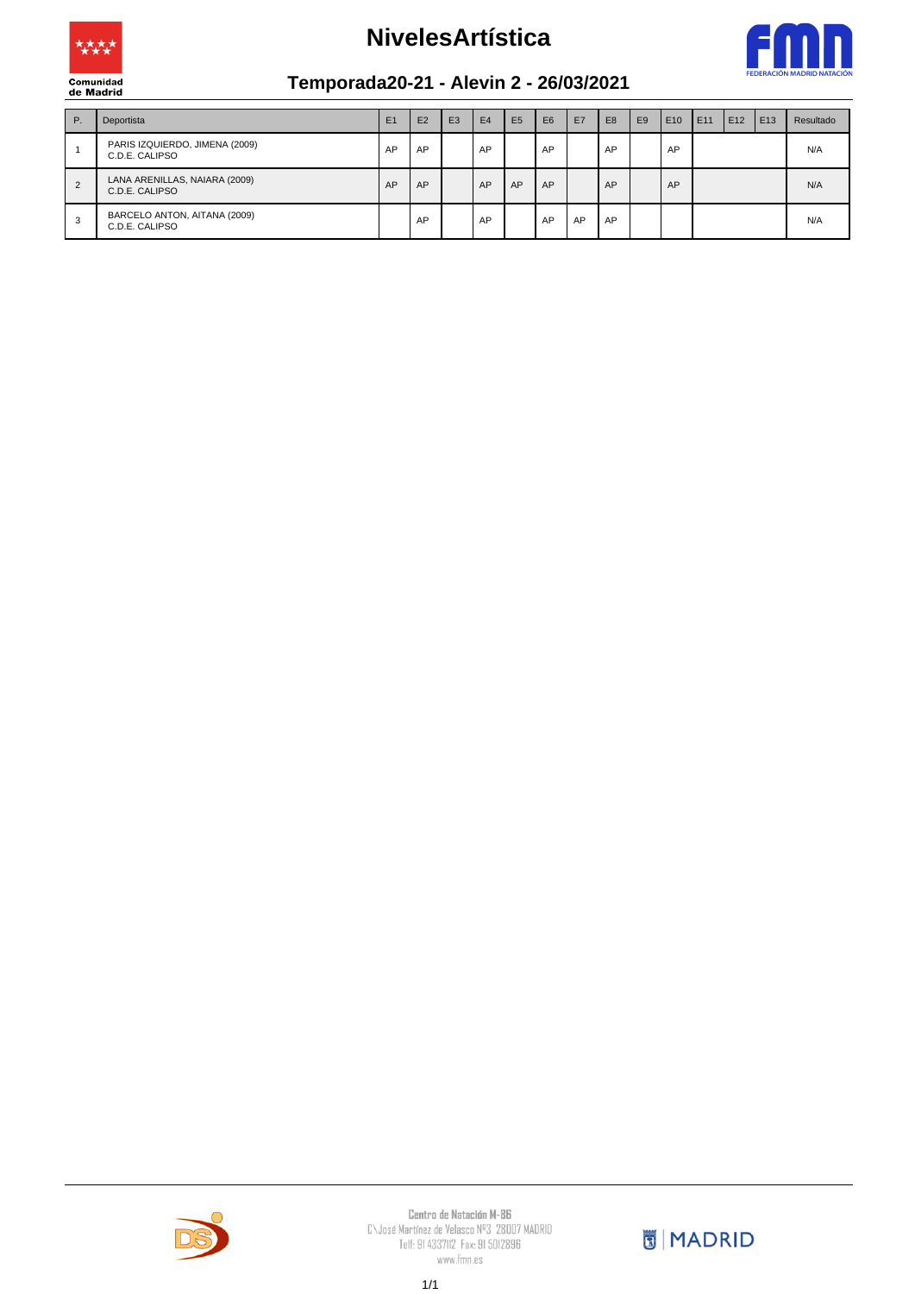



#### **Temporada20-21 - Alevin 2 - 26/03/2021**

| P. | Deportista                                       | E1 | E2 | E <sub>3</sub> | E <sub>4</sub> | E <sub>5</sub> | E <sub>6</sub> | E7 | E <sub>8</sub> | E <sub>9</sub> | E <sub>10</sub> | E11 | E <sub>12</sub> | E13 | Resultado |
|----|--------------------------------------------------|----|----|----------------|----------------|----------------|----------------|----|----------------|----------------|-----------------|-----|-----------------|-----|-----------|
|    | PARIS IZQUIERDO, JIMENA (2009)<br>C.D.E. CALIPSO | AP | AP |                | AP             |                | AP             |    | AP             |                | AP              |     |                 |     | N/A       |
| 2  | LANA ARENILLAS, NAIARA (2009)<br>C.D.E. CALIPSO  | AP | AP |                | AP             | AP             | AP             |    | AP             |                | AP              |     |                 |     | N/A       |
| 3  | BARCELO ANTON, AITANA (2009)<br>C.D.E. CALIPSO   |    | AP |                | AP             |                | AP             | AP | AP             |                |                 |     |                 |     | N/A       |



 $\begin{array}{c} \textbf{Centra de Natación M-BG} \\ \textbf{C}\cup \text{ose Martínez de Velasco N<sup>og</sup> } 28007 MADRID \\ \textbf{Telf: 91 4337112 } \textbf{Fax: 91 5012896} \end{array}$ www.fmn.es

**MADRID**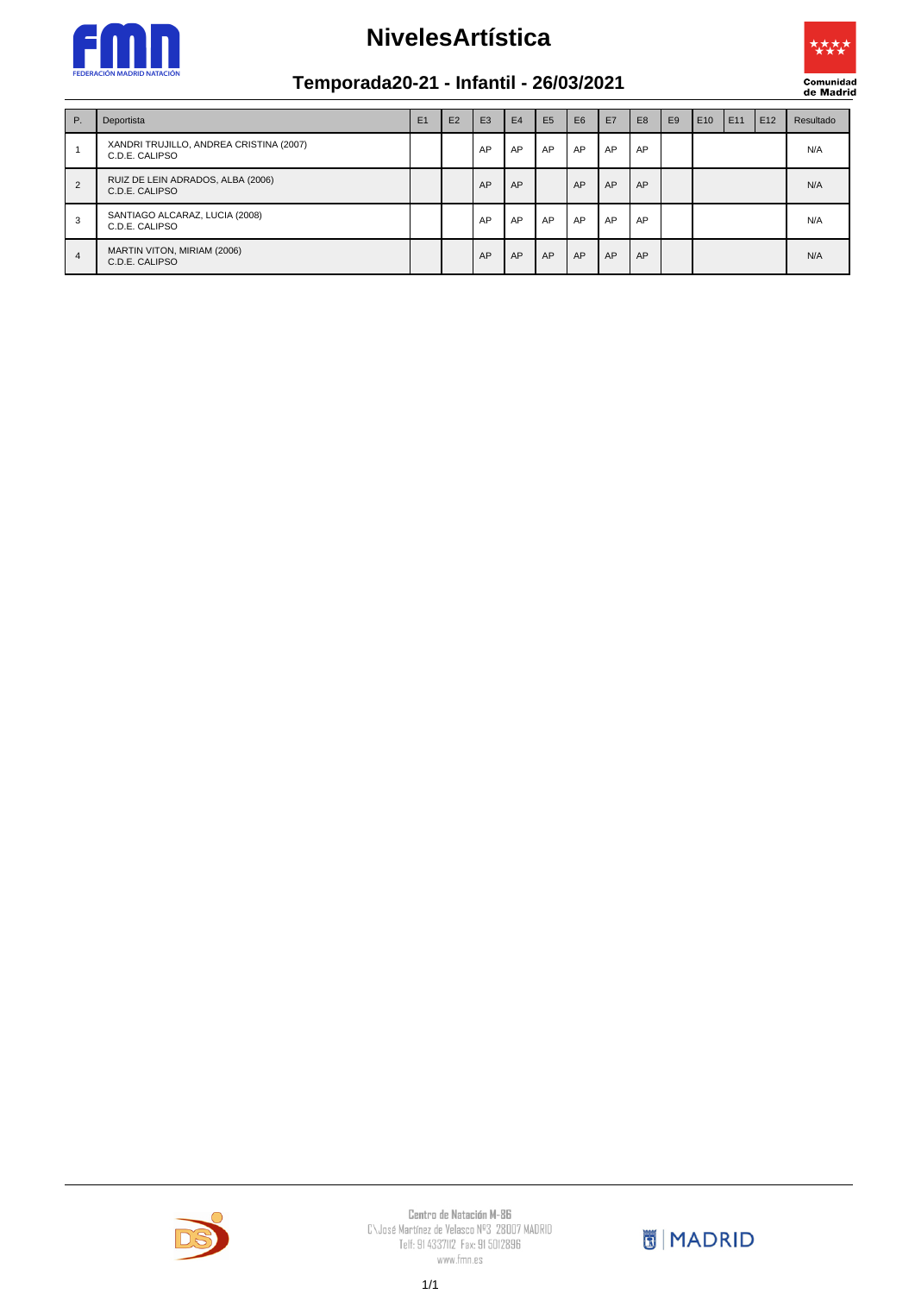



### **Temporada20-21 - Infantil - 26/03/2021**

| P.             | Deportista                                                | E1 | E2 | E <sub>3</sub> | E4 | E <sub>5</sub> | E <sub>6</sub> | E7 | E <sub>8</sub> | E <sub>9</sub> | E10 | E11 | E12 | Resultado |
|----------------|-----------------------------------------------------------|----|----|----------------|----|----------------|----------------|----|----------------|----------------|-----|-----|-----|-----------|
|                | XANDRI TRUJILLO, ANDREA CRISTINA (2007)<br>C.D.E. CALIPSO |    |    | AP             | AP | AP             | AP             | AP | AP             |                |     |     |     | N/A       |
| $\overline{2}$ | RUIZ DE LEIN ADRADOS, ALBA (2006)<br>C.D.E. CALIPSO       |    |    | AP             | AP |                | AP             | AP | AP             |                |     |     |     | N/A       |
| 3              | SANTIAGO ALCARAZ, LUCIA (2008)<br>C.D.E. CALIPSO          |    |    | AP             | AP | AP             | AP             | AP | AP             |                |     |     |     | N/A       |
| 4              | MARTIN VITON, MIRIAM (2006)<br>C.D.E. CALIPSO             |    |    | AP             | AP | AP             | AP             | AP | AP             |                |     |     |     | N/A       |



 $\begin{array}{c} \textbf{Centra de Natación M-BG} \\ \textbf{C}\cup \text{ose Martínez de Velasco N<sup>og</sup> } 28007 MADRID \\ \textbf{Telf: 91 4337112 } \textbf{Fax: 91 5012896} \end{array}$ www.fmn.es

**MADRID**